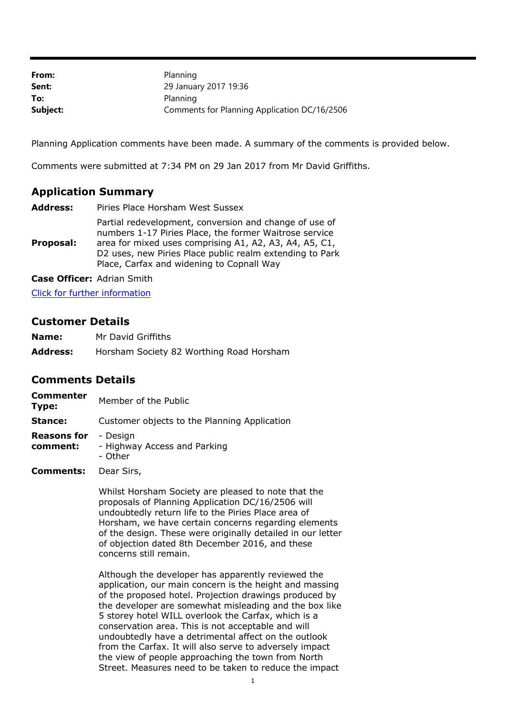| From:    | Planning                                     |
|----------|----------------------------------------------|
| Sent:    | 29 January 2017 19:36                        |
| To:      | Planning                                     |
| Subject: | Comments for Planning Application DC/16/2506 |

Planning Application comments have been made. A summary of the comments is provided below.

Comments were submitted at 7:34 PM on 29 Jan 2017 from Mr David Griffiths.

## **Application Summary**

| <b>Address:</b> | Piries Place Horsham West Sussex                                                                                                                                                                                                                                                    |
|-----------------|-------------------------------------------------------------------------------------------------------------------------------------------------------------------------------------------------------------------------------------------------------------------------------------|
| Proposal:       | Partial redevelopment, conversion and change of use of<br>numbers 1-17 Piries Place, the former Waitrose service<br>area for mixed uses comprising A1, A2, A3, A4, A5, C1,<br>D2 uses, new Piries Place public realm extending to Park<br>Place, Carfax and widening to Copnall Way |
|                 |                                                                                                                                                                                                                                                                                     |

**Case Officer:** Adrian Smith

Click for further information

## **Customer Details**

| Name:           | Mr David Griffiths                       |
|-----------------|------------------------------------------|
| <b>Address:</b> | Horsham Society 82 Worthing Road Horsham |

## **Comments Details**

| <b>Commenter</b><br>Type:      | Member of the Public                                |
|--------------------------------|-----------------------------------------------------|
| Stance:                        | Customer objects to the Planning Application        |
| <b>Reasons for</b><br>comment: | - Design<br>- Highway Access and Parking<br>- Other |
| Comments:                      | Dear Sirs.                                          |

**Comments:** Dear Sirs,

Whilst Horsham Society are pleased to note that the proposals of Planning Application DC/16/2506 will undoubtedly return life to the Piries Place area of Horsham, we have certain concerns regarding elements of the design. These were originally detailed in our letter of objection dated 8th December 2016, and these concerns still remain.

Although the developer has apparently reviewed the application, our main concern is the height and massing of the proposed hotel. Projection drawings produced by the developer are somewhat misleading and the box like 5 storey hotel WILL overlook the Carfax, which is a conservation area. This is not acceptable and will undoubtedly have a detrimental affect on the outlook from the Carfax. It will also serve to adversely impact the view of people approaching the town from North Street. Measures need to be taken to reduce the impact